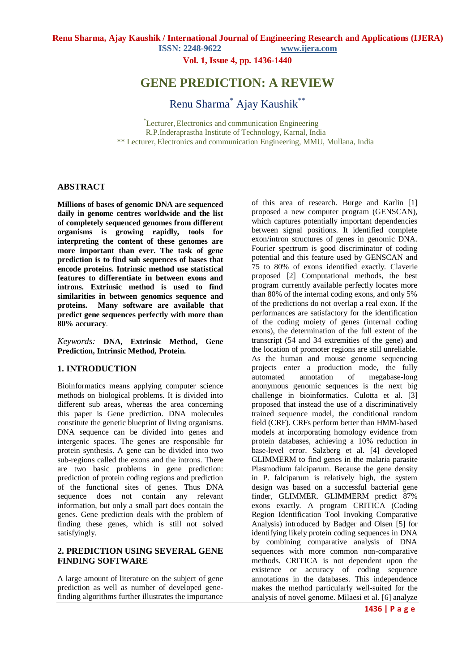**ISSN: 2248-9622 www.ijera.com**

**Vol. 1, Issue 4, pp. 1436-1440**

## **GENE PREDICTION: A REVIEW**

Renu Sharma\* Ajay Kaushik\*\*

\*Lecturer, Electronics and communication Engineering R.P.Inderaprastha Institute of Technology, Karnal, India \*\* Lecturer, Electronics and communication Engineering, MMU, Mullana, India

#### **ABSTRACT**

**Millions of bases of genomic DNA are sequenced daily in genome centres worldwide and the list of completely sequenced genomes from different organisms is growing rapidly, tools for interpreting the content of these genomes are more important than ever. The task of gene prediction is to find sub sequences of bases that encode proteins. Intrinsic method use statistical features to differentiate in between exons and introns. Extrinsic method is used to find similarities in between genomics sequence and proteins. Many software are available that predict gene sequences perfectly with more than 80% accuracy**.

*Keywords:* **DNA, Extrinsic Method, Gene Prediction, Intrinsic Method, Protein.**

### **1. INTRODUCTION**

Bioinformatics means applying computer science methods on biological problems. It is divided into different sub areas, whereas the area concerning this paper is Gene prediction. DNA molecules constitute the genetic blueprint of living organisms. DNA sequence can be divided into genes and intergenic spaces. The genes are responsible for protein synthesis. A gene can be divided into two sub-regions called the exons and the introns. There are two basic problems in gene prediction: prediction of protein coding regions and prediction of the functional sites of genes. Thus DNA sequence does not contain any relevant information, but only a small part does contain the genes. Gene prediction deals with the problem of finding these genes, which is still not solved satisfyingly.

#### **2. PREDICTION USING SEVERAL GENE FINDING SOFTWARE**

A large amount of literature on the subject of gene prediction as well as number of developed genefinding algorithms further illustrates the importance

of this area of research. Burge and Karlin [1] proposed a new computer program (GENSCAN), which captures potentially important dependencies between signal positions. It identified complete exon/intron structures of genes in genomic DNA. Fourier spectrum is good discriminator of coding potential and this feature used by GENSCAN and 75 to 80% of exons identified exactly. Claverie proposed [2] Computational methods, the best program currently available perfectly locates more than 80% of the internal coding exons, and only 5% of the predictions do not overlap a real exon. If the performances are satisfactory for the identification of the coding moiety of genes (internal coding exons), the determination of the full extent of the transcript (54 and 34 extremities of the gene) and the location of promoter regions are still unreliable. As the human and mouse genome sequencing projects enter a production mode, the fully automated annotation of megabase-long anonymous genomic sequences is the next big challenge in bioinformatics. Culotta et al. [3] proposed that instead the use of a discriminatively trained sequence model, the conditional random field (CRF). CRFs perform better than HMM-based models at incorporating homology evidence from protein databases, achieving a 10% reduction in base-level error. Salzberg et al. [4] developed GLIMMERM to find genes in the malaria parasite Plasmodium falciparum. Because the gene density in P. falciparum is relatively high, the system design was based on a successful bacterial gene finder, GLIMMER. GLIMMERM predict 87% exons exactly. A program CRITICA (Coding Region Identification Tool Invoking Comparative Analysis) introduced by Badger and Olsen [5] for identifying likely protein coding sequences in DNA by combining comparative analysis of DNA sequences with more common non-comparative methods. CRITICA is not dependent upon the existence or accuracy of coding sequence annotations in the databases. This independence makes the method particularly well-suited for the analysis of novel genome. Milaesi et al. [6] analyze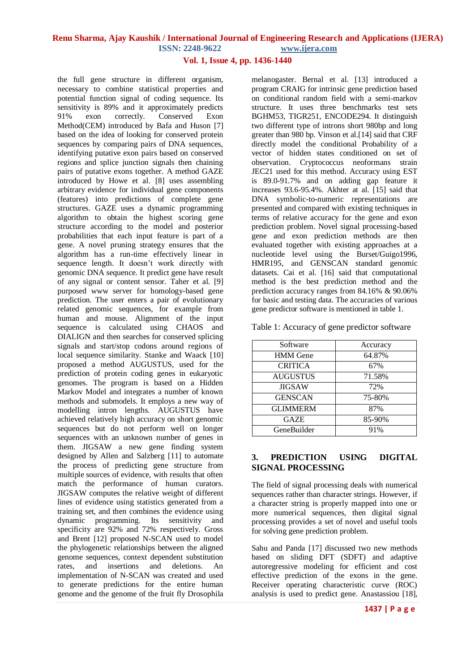### **Vol. 1, Issue 4, pp. 1436-1440**

the full gene structure in different organism, necessary to combine statistical properties and potential function signal of coding sequence. Its sensitivity is 89% and it approximately predicts 91% exon correctly. Conserved Exon Method(CEM) introduced by Bafa and Huson [7] based on the idea of looking for conserved protein sequences by comparing pairs of DNA sequences, identifying putative exon pairs based on conserved regions and splice junction signals then chaining pairs of putative exons together. A method GAZE introduced by Howe et al. [8] uses assembling arbitrary evidence for individual gene components (features) into predictions of complete gene structures. GAZE uses a dynamic programming algorithm to obtain the highest scoring gene structure according to the model and posterior probabilities that each input feature is part of a gene. A novel pruning strategy ensures that the algorithm has a run-time effectively linear in sequence length. It doesn"t work directly with genomic DNA sequence. It predict gene have result of any signal or content sensor. Taher et al. [9] purposed www server for homology-based gene prediction. The user enters a pair of evolutionary related genomic sequences, for example from human and mouse. Alignment of the input sequence is calculated using CHAOS and DIALIGN and then searches for conserved splicing signals and start/stop codons around regions of local sequence similarity. Stanke and Waack [10] proposed a method AUGUSTUS, used for the prediction of protein coding genes in eukaryotic genomes. The program is based on a Hidden Markov Model and integrates a number of known methods and submodels. It employs a new way of modelling intron lengths. AUGUSTUS have achieved relatively high accuracy on short genomic sequences but do not perform well on longer sequences with an unknown number of genes in them. JIGSAW a new gene finding system designed by Allen and Salzberg [11] to automate the process of predicting gene structure from multiple sources of evidence, with results that often match the performance of human curators. JIGSAW computes the relative weight of different lines of evidence using statistics generated from a training set, and then combines the evidence using dynamic programming. Its sensitivity and specificity are 92% and 72% respectively. Gross and Brent [12] proposed N-SCAN used to model the phylogenetic relationships between the aligned genome sequences, context dependent substitution rates, and insertions and deletions. An implementation of N-SCAN was created and used to generate predictions for the entire human genome and the genome of the fruit fly Drosophila

melanogaster. Bernal et al. [13] introduced a program CRAIG for intrinsic gene prediction based on conditional random field with a semi-markov structure. It uses three benchmarks test sets BGHM53, TIGR251, ENCODE294. It distinguish two different type of introns short 980bp and long greater than 980 bp. Vinson et al.[14] said that CRF directly model the conditional Probability of a vector of hidden states conditioned on set of observation. Cryptococcus neoformans strain JEC21 used for this method. Accuracy using EST is 89.0-91.7% and on adding gap feature it increases 93.6-95.4%. Akhter at al. [15] said that DNA symbolic-to-numeric representations are presented and compared with existing techniques in terms of relative accuracy for the gene and exon prediction problem. Novel signal processing-based gene and exon prediction methods are then evaluated together with existing approaches at a nucleotide level using the Burset/Guigo1996, HMR195, and GENSCAN standard genomic datasets. Cai et al. [16] said that computational method is the best prediction method and the prediction accuracy ranges from 84.16% & 90.06% for basic and testing data. The accuracies of various gene predictor software is mentioned in table 1.

Table 1: Accuracy of gene predictor software

| Software        | Accuracy |
|-----------------|----------|
| HMM Gene        | 64.87%   |
| <b>CRITICA</b>  | 67%      |
| <b>AUGUSTUS</b> | 71.58%   |
| <b>JIGSAW</b>   | 72%      |
| <b>GENSCAN</b>  | 75-80%   |
| <b>GLIMMERM</b> | 87%      |
| GAZE            | 85-90%   |
| GeneBuilder     | 91%      |

### **3. PREDICTION USING DIGITAL SIGNAL PROCESSING**

The field of signal processing deals with numerical sequences rather than character strings. However, if a character string is properly mapped into one or more numerical sequences, then digital signal processing provides a set of novel and useful tools for solving gene prediction problem.

Sahu and Panda [17] discussed two new methods based on sliding DFT (SDFT) and adaptive autoregressive modeling for efficient and cost effective prediction of the exons in the gene. Receiver operating characteristic curve (ROC) analysis is used to predict gene. Anastassiou [18],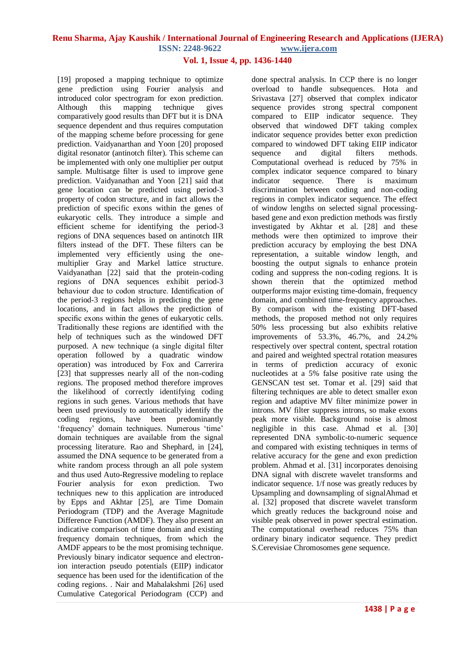### **Vol. 1, Issue 4, pp. 1436-1440**

[19] proposed a mapping technique to optimize gene prediction using Fourier analysis and introduced color spectrogram for exon prediction. Although this mapping technique gives comparatively good results than DFT but it is DNA sequence dependent and thus requires computation of the mapping scheme before processing for gene prediction. Vaidyanarthan and Yoon [20] proposed digital resonator (antinotch filter). This scheme can be implemented with only one multiplier per output sample. Multisatge filter is used to improve gene prediction. Vaidyanathan and Yoon [21] said that gene location can be predicted using period-3 property of codon structure, and in fact allows the prediction of specific exons within the genes of eukaryotic cells. They introduce a simple and efficient scheme for identifying the period-3 regions of DNA sequences based on antinotch IIR filters instead of the DFT. These filters can be implemented very efficiently using the onemultiplier Gray and Markel lattice structure. Vaidyanathan [22] said that the protein-coding regions of DNA sequences exhibit period-3 behaviour due to codon structure. Identification of the period-3 regions helps in predicting the gene locations, and in fact allows the prediction of specific exons within the genes of eukaryotic cells. Traditionally these regions are identified with the help of techniques such as the windowed DFT purposed. A new technique (a single digital filter operation followed by a quadratic window operation) was introduced by Fox and Carrerira [23] that suppresses nearly all of the non-coding regions. The proposed method therefore improves the likelihood of correctly identifying coding regions in such genes. Various methods that have been used previously to automatically identify the coding regions, have been predominantly 'frequency' domain techniques. Numerous 'time' domain techniques are available from the signal processing literature. Rao and Shephard, in [24], assumed the DNA sequence to be generated from a white random process through an all pole system and thus used Auto-Regressive modeling to replace Fourier analysis for exon prediction. Two techniques new to this application are introduced by Epps and Akhtar [25], are Time Domain Periodogram (TDP) and the Average Magnitude Difference Function (AMDF). They also present an indicative comparison of time domain and existing frequency domain techniques, from which the AMDF appears to be the most promising technique. Previously binary indicator sequence and electronion interaction pseudo potentials (EIIP) indicator sequence has been used for the identification of the coding regions. . Nair and Mahalakshmi [26] used Cumulative Categorical Periodogram (CCP) and

done spectral analysis. In CCP there is no longer overload to handle subsequences. Hota and Srivastava [27] observed that complex indicator sequence provides strong spectral component compared to EIIP indicator sequence. They observed that windowed DFT taking complex indicator sequence provides better exon prediction compared to windowed DFT taking EIIP indicator sequence and digital filters methods. Computational overhead is reduced by 75% in complex indicator sequence compared to binary indicator sequence. There is maximum discrimination between coding and non-coding regions in complex indicator sequence. The effect of window lengths on selected signal processingbased gene and exon prediction methods was firstly investigated by Akhtar et al. [28] and these methods were then optimized to improve their prediction accuracy by employing the best DNA representation, a suitable window length, and boosting the output signals to enhance protein coding and suppress the non-coding regions. It is shown therein that the optimized method outperforms major existing time-domain, frequency domain, and combined time-frequency approaches. By comparison with the existing DFT-based methods, the proposed method not only requires 50% less processing but also exhibits relative improvements of 53.3%, 46.7%, and 24.2% respectively over spectral content, spectral rotation and paired and weighted spectral rotation measures in terms of prediction accuracy of exonic nucleotides at a 5% false positive rate using the GENSCAN test set. Tomar et al. [29] said that filtering techniques are able to detect smaller exon region and adaptive MV filter minimize power in introns. MV filter suppress introns, so make exons peak more visible. Background noise is almost negligible in this case. Ahmad et al. [30] represented DNA symbolic-to-numeric sequence and compared with existing techniques in terms of relative accuracy for the gene and exon prediction problem. Ahmad et al. [31] incorporates denoising DNA signal with discrete wavelet transforms and indicator sequence. 1/f nose was greatly reduces by Upsampling and downsampling of signalAhmad et al. [32] proposed that discrete wavelet transform which greatly reduces the background noise and visible peak observed in power spectral estimation. The computational overhead reduces 75% than ordinary binary indicator sequence. They predict S.Cerevisiae Chromosomes gene sequence.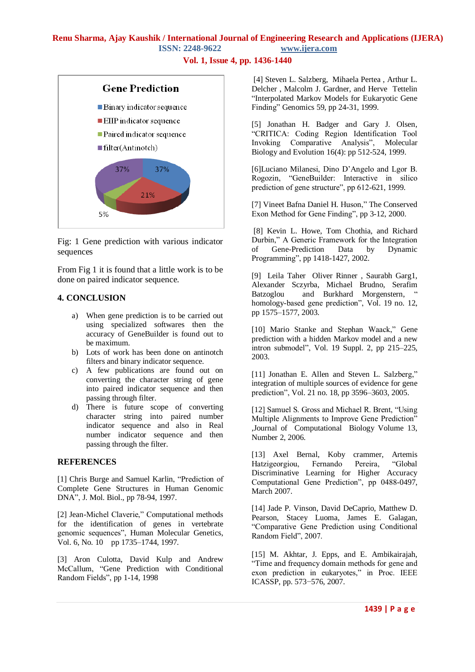**Vol. 1, Issue 4, pp. 1436-1440**



Fig: 1 Gene prediction with various indicator sequences

From Fig 1 it is found that a little work is to be done on paired indicator sequence.

### **4. CONCLUSION**

- a) When gene prediction is to be carried out using specialized softwares then the accuracy of GeneBuilder is found out to be maximum.
- b) Lots of work has been done on antinotch filters and binary indicator sequence.
- c) A few publications are found out on converting the character string of gene into paired indicator sequence and then passing through filter.
- d) There is future scope of converting character string into paired number indicator sequence and also in Real number indicator sequence and then passing through the filter.

### **REFERENCES**

[1] Chris Burge and Samuel Karlin, "Prediction of Complete Gene Structures in Human Genomic DNA", J. Mol. Biol., pp 78-94, 1997.

[2] Jean-Michel Claverie," Computational methods for the identification of genes in vertebrate genomic sequences", Human Molecular Genetics, Vol. 6, No. 10 pp 1735–1744, 1997.

[3] Aron Culotta, David Kulp and Andrew McCallum, "Gene Prediction with Conditional Random Fields", pp 1-14, 1998

[4] Steven L. Salzberg, Mihaela Pertea , Arthur L. Delcher , Malcolm J. Gardner, and Herve Tettelin "Interpolated Markov Models for Eukaryotic Gene Finding" Genomics 59, pp 24-31, 1999.

[5] Jonathan H. Badger and Gary J. Olsen, "CRITICA: Coding Region Identification Tool Invoking Comparative Analysis", Molecular Biology and Evolution 16(4): pp 512-524, 1999.

[6]Luciano Milanesi, Dino D"Angelo and Lgor B. Rogozin, "GeneBuilder: Interactive in silico prediction of gene structure", pp 612-621, 1999.

[7] Vineet Bafna Daniel H. Huson," The Conserved Exon Method for Gene Finding", pp 3-12, 2000.

[8] Kevin L. Howe, Tom Chothia, and Richard Durbin," A Generic Framework for the Integration of Gene-Prediction Data by Dynamic Programming", pp 1418-1427, 2002.

[9] Leila Taher Oliver Rinner , Saurabh Garg1, Alexander Sczyrba, Michael Brudno, Serafim Batzoglou and Burkhard Morgenstern, homology-based gene prediction", Vol. 19 no. 12, pp 1575–1577, 2003.

[10] Mario Stanke and Stephan Waack," Gene prediction with a hidden Markov model and a new intron submodel", Vol. 19 Suppl. 2, pp 215–225, 2003.

[11] Jonathan E. Allen and Steven L. Salzberg," integration of multiple sources of evidence for gene prediction", Vol. 21 no. 18, pp 3596–3603, 2005.

[12] Samuel S. Gross and Michael R. Brent, "Using Multiple Alignments to Improve Gene Prediction" ,Journal of Computational Biology Volume 13, Number 2, 2006.

[13] Axel Bernal, Koby crammer, Artemis Hatzigeorgiou, Fernando Pereira, "Global Discriminative Learning for Higher Accuracy Computational Gene Prediction", pp 0488-0497, March 2007.

[14] Jade P. Vinson, David DeCaprio, Matthew D. Pearson, Stacey Luoma, James E. Galagan, "Comparative Gene Prediction using Conditional Random Field", 2007.

[15] M. Akhtar, J. Epps, and E. Ambikairajah, "Time and frequency domain methods for gene and exon prediction in eukaryotes," in Proc. IEEE ICASSP, pp. 573−576, 2007.